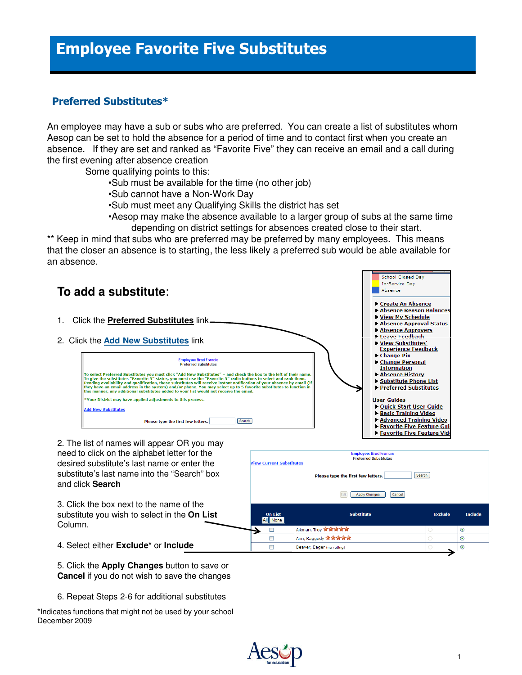## Employee Favorite Five Substitutes

## Preferred Substitutes\*

 An employee may have a sub or subs who are preferred. You can create a list of substitutes whom Aesop can be set to hold the absence for a period of time and to contact first when you create an absence. If they are set and ranked as "Favorite Five" they can receive an email and a call during the first evening after absence creation

Some qualifying points to this:

- •Sub must be available for the time (no other job)
- •Sub cannot have a Non-Work Day
- •Sub must meet any Qualifying Skills the district has set
- •Aesop may make the absence available to a larger group of subs at the same time depending on district settings for absences created close to their start.

 \*\* Keep in mind that subs who are preferred may be preferred by many employees. This means that the closer an absence is to starting, the less likely a preferred sub would be able available for an absence.



 5. Click the **Apply Changes** button to save or **Cancel** if you do not wish to save the changes

6. Repeat Steps 2-6 for additional substitutes

 \*Indicates functions that might not be used by your school December 2009